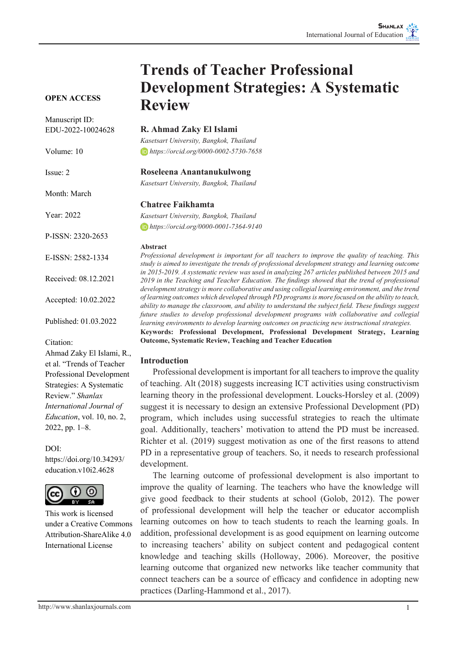#### **OPEN ACCESS**

Manuscript ID: EDU-2022-10024628

Volume: 10

Issue: 2

Month: March

Year: 2022

P-ISSN: 2320-2653

E-ISSN: 2582-1334

Received: 08.12.2021

Accepted: 10.02.2022

Published: 01.03.2022

Citation:

Ahmad Zaky El Islami, R., et al. "Trends of Teacher Professional Development Strategies: A Systematic Review." *Shanlax International Journal of Education*, vol. 10, no. 2, 2022, pp. 1–8.

#### DOI:

https://doi.org/10.34293/ education.v10i2.4628



This work is licensed under a Creative Commons Attribution-ShareAlike 4.0 International License

#### **R. Ahmad Zaky El Islami**

**Review**

*Kasetsart University, Bangkok, Thailand https://orcid.org/0000-0002-5730-7658*

**Trends of Teacher Professional** 

**Development Strategies: A Systematic** 

#### **Roseleena Anantanukulwong**

*Kasetsart University, Bangkok, Thailand*

#### **Chatree Faikhamta**

*Kasetsart University, Bangkok, Thailand https://orcid.org/0000-0001-7364-9140*

#### **Abstract**

*Professional development is important for all teachers to improve the quality of teaching. This study is aimed to investigate the trends of professional development strategy and learning outcome in 2015-2019. A systematic review was used in analyzing 267 articles published between 2015 and 2019 in the Teaching and Teacher Education. The findings showed that the trend of professional development strategy is more collaborative and using collegial learning environment, and the trend of learning outcomes which developed through PD programs is more focused on the ability to teach, ability to manage the classroom, and ability to understand the subject field. These findings suggest future studies to develop professional development programs with collaborative and collegial learning environments to develop learning outcomes on practicing new instructional strategies.* **Keywords: Professional Development, Professional Development Strategy, Learning Outcome, Systematic Review, Teaching and Teacher Education**

#### **Introduction**

Professional development is important for all teachers to improve the quality of teaching. Alt (2018) suggests increasing ICT activities using constructivism learning theory in the professional development. Loucks-Horsley et al. (2009) suggest it is necessary to design an extensive Professional Development (PD) program, which includes using successful strategies to reach the ultimate goal. Additionally, teachers' motivation to attend the PD must be increased. Richter et al. (2019) suggest motivation as one of the first reasons to attend PD in a representative group of teachers. So, it needs to research professional development.

The learning outcome of professional development is also important to improve the quality of learning. The teachers who have the knowledge will give good feedback to their students at school (Golob, 2012). The power of professional development will help the teacher or educator accomplish learning outcomes on how to teach students to reach the learning goals. In addition, professional development is as good equipment on learning outcome to increasing teachers' ability on subject content and pedagogical content knowledge and teaching skills (Holloway, 2006). Moreover, the positive learning outcome that organized new networks like teacher community that connect teachers can be a source of efficacy and confidence in adopting new practices (Darling-Hammond et al., 2017).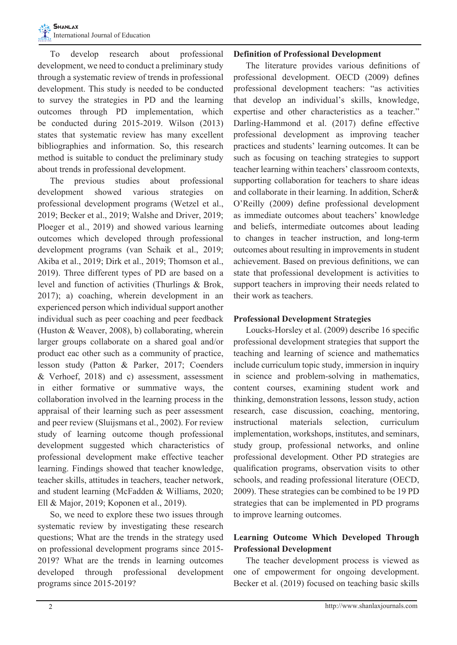To develop research about professional development, we need to conduct a preliminary study through a systematic review of trends in professional development. This study is needed to be conducted to survey the strategies in PD and the learning outcomes through PD implementation, which be conducted during 2015-2019. Wilson (2013) states that systematic review has many excellent bibliographies and information. So, this research method is suitable to conduct the preliminary study about trends in professional development.

The previous studies about professional development showed various strategies on professional development programs (Wetzel et al., 2019; Becker et al., 2019; Walshe and Driver, 2019; Ploeger et al., 2019) and showed various learning outcomes which developed through professional development programs (van Schaik et al., 2019; Akiba et al., 2019; Dirk et al., 2019; Thomson et al., 2019). Three different types of PD are based on a level and function of activities (Thurlings & Brok, 2017); a) coaching, wherein development in an experienced person which individual support another individual such as peer coaching and peer feedback (Huston & Weaver, 2008), b) collaborating, wherein larger groups collaborate on a shared goal and/or product eac other such as a community of practice, lesson study (Patton & Parker, 2017; Coenders & Verhoef, 2018) and c) assessment, assessment in either formative or summative ways, the collaboration involved in the learning process in the appraisal of their learning such as peer assessment and peer review (Sluijsmans et al., 2002). For review study of learning outcome though professional development suggested which characteristics of professional development make effective teacher learning. Findings showed that teacher knowledge, teacher skills, attitudes in teachers, teacher network, and student learning (McFadden & Williams, 2020; Ell & Major, 2019; Koponen et al., 2019).

So, we need to explore these two issues through systematic review by investigating these research questions; What are the trends in the strategy used on professional development programs since 2015- 2019? What are the trends in learning outcomes developed through professional development programs since 2015-2019?

#### **Definition of Professional Development**

The literature provides various definitions of professional development. OECD (2009) defines professional development teachers: "as activities that develop an individual's skills, knowledge, expertise and other characteristics as a teacher." Darling-Hammond et al. (2017) define effective professional development as improving teacher practices and students' learning outcomes. It can be such as focusing on teaching strategies to support teacher learning within teachers' classroom contexts, supporting collaboration for teachers to share ideas and collaborate in their learning. In addition, Scher& O'Reilly (2009) define professional development as immediate outcomes about teachers' knowledge and beliefs, intermediate outcomes about leading to changes in teacher instruction, and long-term outcomes about resulting in improvements in student achievement. Based on previous definitions, we can state that professional development is activities to support teachers in improving their needs related to their work as teachers.

## **Professional Development Strategies**

Loucks-Horsley et al. (2009) describe 16 specific professional development strategies that support the teaching and learning of science and mathematics include curriculum topic study, immersion in inquiry in science and problem-solving in mathematics, content courses, examining student work and thinking, demonstration lessons, lesson study, action research, case discussion, coaching, mentoring, instructional materials selection, curriculum implementation, workshops, institutes, and seminars, study group, professional networks, and online professional development. Other PD strategies are qualification programs, observation visits to other schools, and reading professional literature (OECD, 2009). These strategies can be combined to be 19 PD strategies that can be implemented in PD programs to improve learning outcomes.

# **Learning Outcome Which Developed Through Professional Development**

The teacher development process is viewed as one of empowerment for ongoing development. Becker et al. (2019) focused on teaching basic skills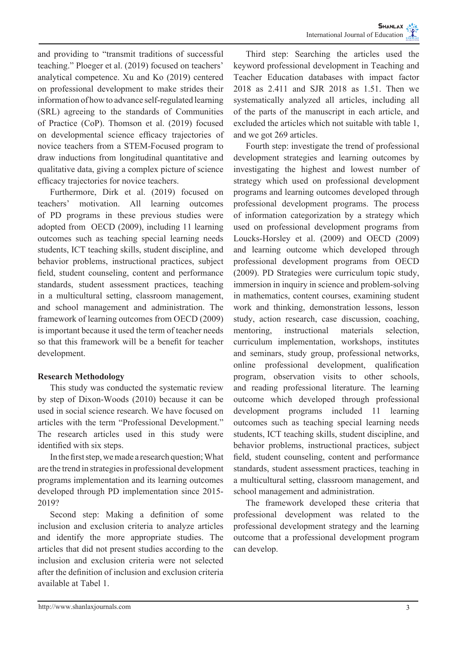and providing to "transmit traditions of successful teaching." Ploeger et al. (2019) focused on teachers' analytical competence. Xu and Ko (2019) centered on professional development to make strides their information of how to advance self-regulated learning (SRL) agreeing to the standards of Communities of Practice (CoP). Thomson et al. (2019) focused on developmental science efficacy trajectories of novice teachers from a STEM-Focused program to draw inductions from longitudinal quantitative and qualitative data, giving a complex picture of science efficacy trajectories for novice teachers.

Furthermore, Dirk et al. (2019) focused on teachers' motivation. All learning outcomes of PD programs in these previous studies were adopted from OECD (2009), including 11 learning outcomes such as teaching special learning needs students, ICT teaching skills, student discipline, and behavior problems, instructional practices, subject field, student counseling, content and performance standards, student assessment practices, teaching in a multicultural setting, classroom management, and school management and administration. The framework of learning outcomes from OECD (2009) is important because it used the term of teacher needs so that this framework will be a benefit for teacher development.

# **Research Methodology**

This study was conducted the systematic review by step of Dixon-Woods (2010) because it can be used in social science research. We have focused on articles with the term "Professional Development." The research articles used in this study were identified with six steps.

In the first step, we made a research question; What are the trend in strategies in professional development programs implementation and its learning outcomes developed through PD implementation since 2015- 2019?

Second step: Making a definition of some inclusion and exclusion criteria to analyze articles and identify the more appropriate studies. The articles that did not present studies according to the inclusion and exclusion criteria were not selected after the definition of inclusion and exclusion criteria available at Tabel 1.

Third step: Searching the articles used the keyword professional development in Teaching and Teacher Education databases with impact factor 2018 as 2.411 and SJR 2018 as 1.51. Then we systematically analyzed all articles, including all of the parts of the manuscript in each article, and excluded the articles which not suitable with table 1, and we got 269 articles.

Fourth step: investigate the trend of professional development strategies and learning outcomes by investigating the highest and lowest number of strategy which used on professional development programs and learning outcomes developed through professional development programs. The process of information categorization by a strategy which used on professional development programs from Loucks-Horsley et al. (2009) and OECD (2009) and learning outcome which developed through professional development programs from OECD (2009). PD Strategies were curriculum topic study, immersion in inquiry in science and problem-solving in mathematics, content courses, examining student work and thinking, demonstration lessons, lesson study, action research, case discussion, coaching, mentoring, instructional materials selection, curriculum implementation, workshops, institutes and seminars, study group, professional networks, online professional development, qualification program, observation visits to other schools, and reading professional literature. The learning outcome which developed through professional development programs included 11 learning outcomes such as teaching special learning needs students, ICT teaching skills, student discipline, and behavior problems, instructional practices, subject field, student counseling, content and performance standards, student assessment practices, teaching in a multicultural setting, classroom management, and school management and administration.

The framework developed these criteria that professional development was related to the professional development strategy and the learning outcome that a professional development program can develop.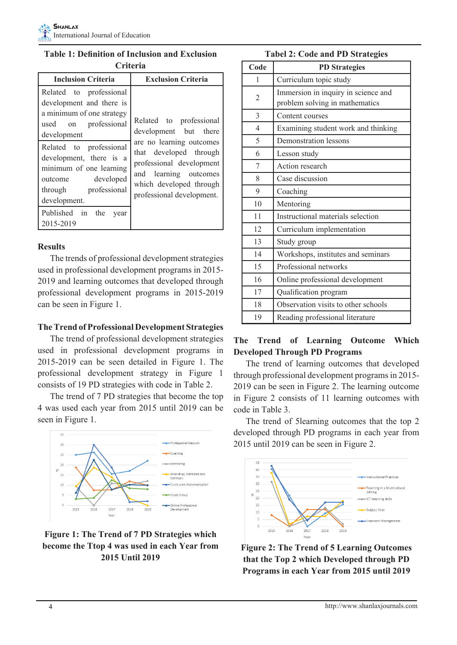# **Table 1: Definition of Inclusion and Exclusion Criteria**

| <b>Inclusion Criteria</b>                                                                                                                        | <b>Exclusion Criteria</b>                                                                                                           |  |  |
|--------------------------------------------------------------------------------------------------------------------------------------------------|-------------------------------------------------------------------------------------------------------------------------------------|--|--|
| Related to professional<br>development and there is<br>a minimum of one strategy<br>on professional<br>used<br>development                       | Related to professional<br>development but there<br>are no learning outcomes                                                        |  |  |
| Related to professional<br>development, there is a<br>minimum of one learning<br>developed<br>outcome<br>professional<br>through<br>development. | that developed through<br>professional development<br>and learning outcomes<br>which developed through<br>professional development. |  |  |
| Published in the<br>year<br>2015-2019                                                                                                            |                                                                                                                                     |  |  |

# **Results**

The trends of professional development strategies used in professional development programs in 2015- 2019 and learning outcomes that developed through professional development programs in 2015-2019 can be seen in Figure 1.

# **The Trend of Professional Development Strategies**

The trend of professional development strategies used in professional development programs in 2015-2019 can be seen detailed in Figure 1. The professional development strategy in Figure 1 consists of 19 PD strategies with code in Table 2.

The trend of 7 PD strategies that become the top 4 was used each year from 2015 until 2019 can be seen in Figure 1.



# **Figure 1: The Trend of 7 PD Strategies which become the Ttop 4 was used in each Year from 2015 Until 2019**

|  |  |  |  | <b>Tabel 2: Code and PD Strategies</b> |
|--|--|--|--|----------------------------------------|
|--|--|--|--|----------------------------------------|

| Code           | <b>PD</b> Strategies                                                  |
|----------------|-----------------------------------------------------------------------|
| 1              | Curriculum topic study                                                |
| 2              | Immersion in inquiry in science and<br>problem solving in mathematics |
| 3              | Content courses                                                       |
| $\overline{4}$ | Examining student work and thinking                                   |
| 5              | Demonstration lessons                                                 |
| 6              | Lesson study                                                          |
| 7              | Action research                                                       |
| 8              | Case discussion                                                       |
| 9              | Coaching                                                              |
| 10             | Mentoring                                                             |
| 11             | Instructional materials selection                                     |
| 12             | Curriculum implementation                                             |
| 13             | Study group                                                           |
| 14             | Workshops, institutes and seminars                                    |
| 15             | Professional networks                                                 |
| 16             | Online professional development                                       |
| 17             | Qualification program                                                 |
| 18             | Observation visits to other schools                                   |
| 19             | Reading professional literature                                       |

# **The Trend of Learning Outcome Which Developed Through PD Programs**

The trend of learning outcomes that developed through professional development programs in 2015- 2019 can be seen in Figure 2. The learning outcome in Figure 2 consists of 11 learning outcomes with code in Table 3.

The trend of 5learning outcomes that the top 2 developed through PD programs in each year from 2015 until 2019 can be seen in Figure 2.



**Figure 2: The Trend of 5 Learning Outcomes that the Top 2 which Developed through PD Programs in each Year from 2015 until 2019**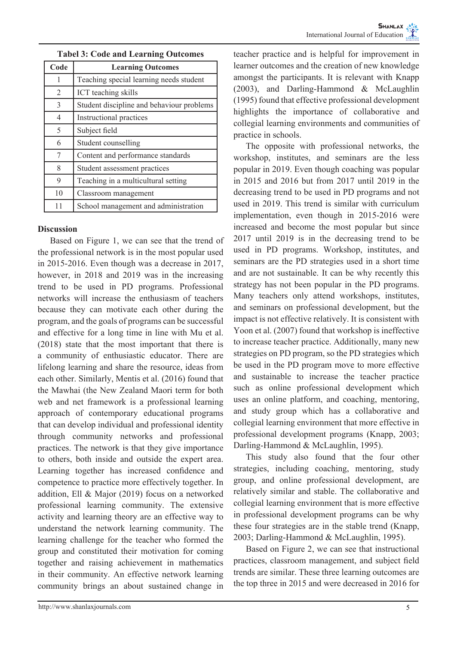| Code           | <b>Learning Outcomes</b>                  |
|----------------|-------------------------------------------|
| 1              | Teaching special learning needs student   |
| $\overline{2}$ | ICT teaching skills                       |
| 3              | Student discipline and behaviour problems |
| $\overline{4}$ | Instructional practices                   |
| 5              | Subject field                             |
| 6              | Student counselling                       |
| 7              | Content and performance standards         |
| 8              | Student assessment practices              |
| 9              | Teaching in a multicultural setting       |
| 10             | Classroom management                      |
| 11             | School management and administration      |

**Tabel 3: Code and Learning Outcomes**

### **Discussion**

Based on Figure 1, we can see that the trend of the professional network is in the most popular used in 2015-2016. Even though was a decrease in 2017, however, in 2018 and 2019 was in the increasing trend to be used in PD programs. Professional networks will increase the enthusiasm of teachers because they can motivate each other during the program, and the goals of programs can be successful and effective for a long time in line with Mu et al. (2018) state that the most important that there is a community of enthusiastic educator. There are lifelong learning and share the resource, ideas from each other. Similarly, Mentis et al. (2016) found that the Mawhai (the New Zealand Maori term for both web and net framework is a professional learning approach of contemporary educational programs that can develop individual and professional identity through community networks and professional practices. The network is that they give importance to others, both inside and outside the expert area. Learning together has increased confidence and competence to practice more effectively together. In addition, Ell & Major (2019) focus on a networked professional learning community. The extensive activity and learning theory are an effective way to understand the network learning community. The learning challenge for the teacher who formed the group and constituted their motivation for coming together and raising achievement in mathematics in their community. An effective network learning community brings an about sustained change in

teacher practice and is helpful for improvement in learner outcomes and the creation of new knowledge amongst the participants. It is relevant with Knapp (2003), and Darling-Hammond & McLaughlin (1995) found that effective professional development highlights the importance of collaborative and collegial learning environments and communities of practice in schools.

The opposite with professional networks, the workshop, institutes, and seminars are the less popular in 2019. Even though coaching was popular in 2015 and 2016 but from 2017 until 2019 in the decreasing trend to be used in PD programs and not used in 2019. This trend is similar with curriculum implementation, even though in 2015-2016 were increased and become the most popular but since 2017 until 2019 is in the decreasing trend to be used in PD programs. Workshop, institutes, and seminars are the PD strategies used in a short time and are not sustainable. It can be why recently this strategy has not been popular in the PD programs. Many teachers only attend workshops, institutes, and seminars on professional development, but the impact is not effective relatively. It is consistent with Yoon et al. (2007) found that workshop is ineffective to increase teacher practice. Additionally, many new strategies on PD program, so the PD strategies which be used in the PD program move to more effective and sustainable to increase the teacher practice such as online professional development which uses an online platform, and coaching, mentoring, and study group which has a collaborative and collegial learning environment that more effective in professional development programs (Knapp, 2003; Darling-Hammond & McLaughlin, 1995).

This study also found that the four other strategies, including coaching, mentoring, study group, and online professional development, are relatively similar and stable. The collaborative and collegial learning environment that is more effective in professional development programs can be why these four strategies are in the stable trend (Knapp, 2003; Darling-Hammond & McLaughlin, 1995).

Based on Figure 2, we can see that instructional practices, classroom management, and subject field trends are similar. These three learning outcomes are the top three in 2015 and were decreased in 2016 for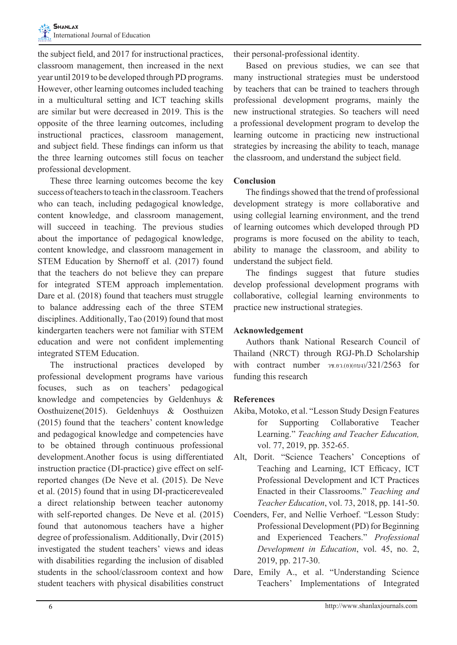the subject field, and 2017 for instructional practices, classroom management, then increased in the next year until 2019 to be developed through PD programs. However, other learning outcomes included teaching in a multicultural setting and ICT teaching skills are similar but were decreased in 2019. This is the opposite of the three learning outcomes, including instructional practices, classroom management, and subject field. These findings can inform us that the three learning outcomes still focus on teacher professional development.

These three learning outcomes become the key success of teachers to teach in the classroom. Teachers who can teach, including pedagogical knowledge, content knowledge, and classroom management, will succeed in teaching. The previous studies about the importance of pedagogical knowledge, content knowledge, and classroom management in STEM Education by Shernoff et al. (2017) found that the teachers do not believe they can prepare for integrated STEM approach implementation. Dare et al. (2018) found that teachers must struggle to balance addressing each of the three STEM disciplines. Additionally, Tao (2019) found that most kindergarten teachers were not familiar with STEM education and were not confident implementing integrated STEM Education.

The instructional practices developed by professional development programs have various focuses, such as on teachers' pedagogical knowledge and competencies by Geldenhuys & Oosthuizene(2015). Geldenhuys & Oosthuizen (2015) found that the teachers' content knowledge and pedagogical knowledge and competencies have to be obtained through continuous professional development.Another focus is using differentiated instruction practice (DI-practice) give effect on selfreported changes (De Neve et al. (2015). De Neve et al. (2015) found that in using DI-practicerevealed a direct relationship between teacher autonomy with self-reported changes. De Neve et al. (2015) found that autonomous teachers have a higher degree of professionalism. Additionally, Dvir (2015) investigated the student teachers' views and ideas with disabilities regarding the inclusion of disabled students in the school/classroom context and how student teachers with physical disabilities construct

their personal-professional identity.

Based on previous studies, we can see that many instructional strategies must be understood by teachers that can be trained to teachers through professional development programs, mainly the new instructional strategies. So teachers will need a professional development program to develop the learning outcome in practicing new instructional strategies by increasing the ability to teach, manage the classroom, and understand the subject field.

## **Conclusion**

The findings showed that the trend of professional development strategy is more collaborative and using collegial learning environment, and the trend of learning outcomes which developed through PD programs is more focused on the ability to teach, ability to manage the classroom, and ability to understand the subject field.

The findings suggest that future studies develop professional development programs with collaborative, collegial learning environments to practice new instructional strategies.

### **Acknowledgement**

Authors thank National Research Council of Thailand (NRCT) through RGJ-Ph.D Scholarship with contract number วช.อว.(อ)(กบง)/321/2563 for funding this research

# **References**

- Akiba, Motoko, et al. "Lesson Study Design Features for Supporting Collaborative Teacher Learning." *Teaching and Teacher Education,*  vol. 77, 2019, pp. 352-65.
- Alt, Dorit. "Science Teachers' Conceptions of Teaching and Learning, ICT Efficacy, ICT Professional Development and ICT Practices Enacted in their Classrooms." *Teaching and Teacher Education*, vol. 73, 2018, pp. 141-50.
- Coenders, Fer, and Nellie Verhoef. "Lesson Study: Professional Development (PD) for Beginning and Experienced Teachers." *Professional Development in Education*, vol. 45, no. 2, 2019, pp. 217-30.
- Dare, Emily A., et al. "Understanding Science Teachers' Implementations of Integrated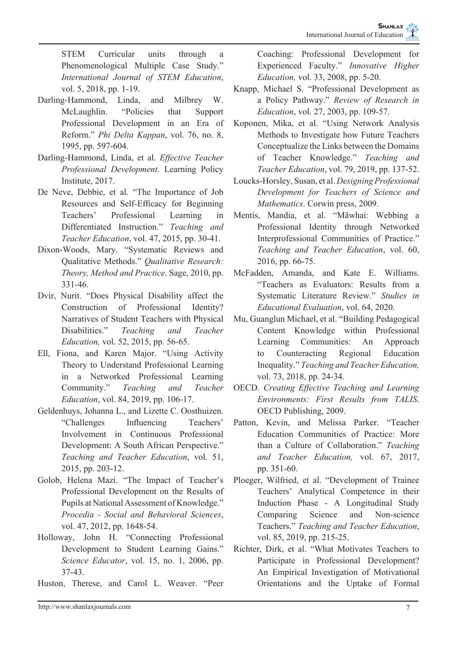STEM Curricular units through a Phenomenological Multiple Case Study." *International Journal of STEM Education*, vol. 5, 2018, pp. 1-19.

- Darling-Hammond, Linda, and Milbrey W. McLaughlin. "Policies that Support Professional Development in an Era of Reform." *Phi Delta Kappan*, vol. 76, no. 8, 1995, pp. 597-604.
- Darling-Hammond, Linda, et al. *Effective Teacher Professional Development*. Learning Policy Institute, 2017.
- De Neve, Debbie, et al. "The Importance of Job Resources and Self-Efficacy for Beginning Teachers' Professional Learning in Differentiated Instruction." *Teaching and Teacher Education*, vol. 47, 2015, pp. 30-41.
- Dixon-Woods, Mary. "Systematic Reviews and Qualitative Methods." *Qualitative Research: Theory, Method and Practice*. Sage, 2010, pp. 331-46.
- Dvir, Nurit. "Does Physical Disability affect the Construction of Professional Identity? Narratives of Student Teachers with Physical Disabilities." *Teaching and Teacher Education,* vol. 52, 2015, pp. 56-65.
- Ell, Fiona, and Karen Major. "Using Activity Theory to Understand Professional Learning in a Networked Professional Learning Community." *Teaching and Teacher Education*, vol. 84, 2019, pp. 106-17.
- Geldenhuys, Johanna L., and Lizette C. Oosthuizen. "Challenges Influencing Teachers' Involvement in Continuous Professional Development: A South African Perspective." *Teaching and Teacher Education*, vol. 51, 2015, pp. 203-12.
- Golob, Helena Mazi. "The Impact of Teacher's Professional Development on the Results of Pupils at National Assessment of Knowledge." *Procedia - Social and Behavioral Sciences*, vol. 47, 2012, pp. 1648-54.
- Holloway, John H. "Connecting Professional Development to Student Learning Gains." *Science Educator*, vol. 15, no. 1, 2006, pp. 37-43.
- Huston, Therese, and Carol L. Weaver. "Peer

Coaching: Professional Development for Experienced Faculty." *Innovative Higher Education,* vol. 33, 2008, pp. 5-20.

- Knapp, Michael S. "Professional Development as a Policy Pathway." *Review of Research in Education*, vol. 27, 2003, pp. 109-57.
- Koponen, Mika, et al. "Using Network Analysis Methods to Investigate how Future Teachers Conceptualize the Links between the Domains of Teacher Knowledge." *Teaching and Teacher Education*, vol. 79, 2019, pp. 137-52.
- Loucks-Horsley, Susan, et al. *Designing Professional Development for Teachers of Science and Mathematics*. Corwin press, 2009.
- Mentis, Mandia, et al. "Māwhai: Webbing a Professional Identity through Networked Interprofessional Communities of Practice." *Teaching and Teacher Education*, vol. 60, 2016, pp. 66-75.
- McFadden, Amanda, and Kate E. Williams. "Teachers as Evaluators: Results from a Systematic Literature Review." *Studies in Educational Evaluation*, vol. 64, 2020.
- Mu, Guanglun Michael, et al. "Building Pedagogical Content Knowledge within Professional Learning Communities: An Approach to Counteracting Regional Education Inequality." *Teaching and Teacher Education,*  vol. 73, 2018, pp. 24-34.
- OECD. *Creating Effective Teaching and Learning Environments: First Results from TALIS*. OECD Publishing, 2009.
- Patton, Kevin, and Melissa Parker. "Teacher Education Communities of Practice: More than a Culture of Collaboration." *Teaching and Teacher Education,* vol. 67, 2017, pp. 351-60.
- Ploeger, Wilfried, et al. "Development of Trainee Teachers' Analytical Competence in their Induction Phase - A Longitudinal Study Comparing Science and Non-science Teachers." *Teaching and Teacher Education*, vol. 85, 2019, pp. 215-25.
- Richter, Dirk, et al. "What Motivates Teachers to Participate in Professional Development? An Empirical Investigation of Motivational Orientations and the Uptake of Formal